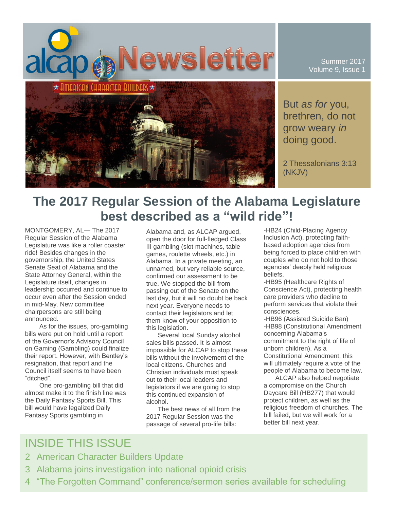

Summer 2017 Volume 9, Issue 1

But *as for* you, brethren, do not grow weary *in* doing good.

2 Thessalonians 3:13 (NKJV)

# **The 2017 Regular Session of the Alabama Legislature best described as a "wild ride"!**

MONTGOMERY, AL— The 2017 Regular Session of the Alabama Legislature was like a roller coaster ride! Besides changes in the governorship, the United States Senate Seat of Alabama and the State Attorney General, within the Legislature itself, changes in leadership occurred and continue to occur even after the Session ended in mid-May. New committee chairpersons are still being announced.

As for the issues, pro-gambling bills were put on hold until a report of the Governor's Advisory Council on Gaming (Gambling) could finalize their report. However, with Bentley's resignation, that report and the Council itself seems to have been "ditched".

One pro-gambling bill that did almost make it to the finish line was the Daily Fantasy Sports Bill. This bill would have legalized Daily Fantasy Sports gambling in

Alabama and, as ALCAP argued, open the door for full-fledged Class III gambling (slot machines, table games, roulette wheels, etc.) in Alabama. In a private meeting, an unnamed, but very reliable source, confirmed our assessment to be true. We stopped the bill from passing out of the Senate on the last day, but it will no doubt be back next year. Everyone needs to contact their legislators and let them know of your opposition to this legislation.

Several local Sunday alcohol sales bills passed. It is almost impossible for ALCAP to stop these bills without the involvement of the local citizens. Churches and Christian individuals must speak out to their local leaders and legislators if we are going to stop this continued expansion of alcohol.

The best news of all from the 2017 Regular Session was the passage of several pro-life bills:

-HB24 (Child-Placing Agency Inclusion Act), protecting faithbased adoption agencies from being forced to place children with couples who do not hold to those agencies' deeply held religious beliefs.

-HB95 (Healthcare Rights of Conscience Act), protecting health care providers who decline to perform services that violate their consciences.

-HB96 (Assisted Suicide Ban) -HB98 (Constitutional Amendment concerning Alabama's commitment to the right of life of unborn children). As a Constitutional Amendment, this will ultimately require a vote of the people of Alabama to become law.

ALCAP also helped negotiate a compromise on the Church Daycare Bill (HB277) that would protect children, as well as the religious freedom of churches. The bill failed, but we will work for a better bill next year.

## INSIDE THIS ISSUE

- 2 American Character Builders Update
- 3 Alabama joins investigation into national opioid crisis
- 4 "The Forgotten Command" conference/sermon series available for scheduling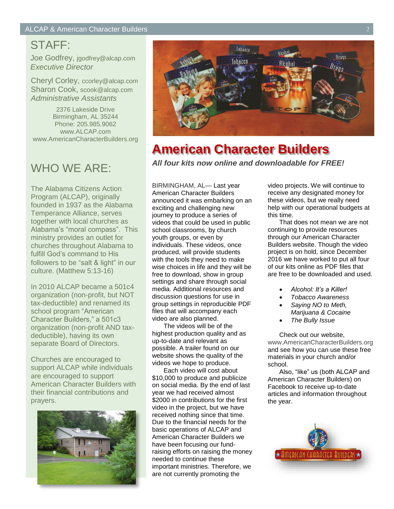## STAFF:

Joe Godfrey, jgodfrey@alcap.com *Executive Director*

Cheryl Corley, ccorley@alcap.com Sharon Cook, scook@alcap.com *Administrative Assistants*

2376 Lakeside Drive Birmingham, AL 35244 Phone: 205.985.9062 www.ALCAP.com www.AmericanCharacterBuilders.org

## WHO WE ARE:

The Alabama Citizens Action Program (ALCAP), originally founded in 1937 as the Alabama Temperance Alliance, serves together with local churches as Alabama's "moral compass". This ministry provides an outlet for churches throughout Alabama to fulfill God's command to His followers to be "salt & light" in our culture. (Matthew 5:13-16)

In 2010 ALCAP became a 501c4 organization (non-profit, but NOT tax-deductible) and renamed its school program "American Character Builders," a 501c3 organization (non-profit AND taxdeductible), having its own separate Board of Directors.

Churches are encouraged to support ALCAP while individuals are encouraged to support American Character Builders with their financial contributions and prayers.





## **American Character Builders** *All four kits now online and downloadable for FREE!*

BIRMINGHAM, AL— Last year American Character Builders announced it was embarking on an exciting and challenging new journey to produce a series of videos that could be used in public school classrooms, by church youth groups, or even by individuals. These videos, once produced, will provide students with the tools they need to make wise choices in life and they will be free to download, show in group settings and share through social media. Additional resources and discussion questions for use in group settings in reproducible PDF files that will accompany each video are also planned.

The videos will be of the highest production quality and as up-to-date and relevant as possible. A trailer found on our website shows the quality of the videos we hope to produce.

Each video will cost about \$10,000 to produce and publicize on social media. By the end of last year we had received almost \$2000 in contributions for the first video in the project, but we have received nothing since that time. Due to the financial needs for the basic operations of ALCAP and American Character Builders we have been focusing our fundraising efforts on raising the money needed to continue these important ministries. Therefore, we are not currently promoting the

video projects. We will continue to receive any designated money for these videos, but we really need help with our operational budgets at this time.

That does not mean we are not continuing to provide resources through our American Character Builders website. Though the video project is on hold, since December 2016 we have worked to put all four of our kits online as PDF files that are free to be downloaded and used.

- *Alcohol: It's a Killer!*
- *Tobacco Awareness*
- *Saying NO to Meth, Marijuana & Cocaine*
- *The Bully Issue*

Check out our website, www.AmericanCharacterBuilders.org and see how you can use these free materials in your church and/or school.

Also, "like" us (both ALCAP and American Character Builders) on Facebook to receive up-to-date articles and information throughout the year.

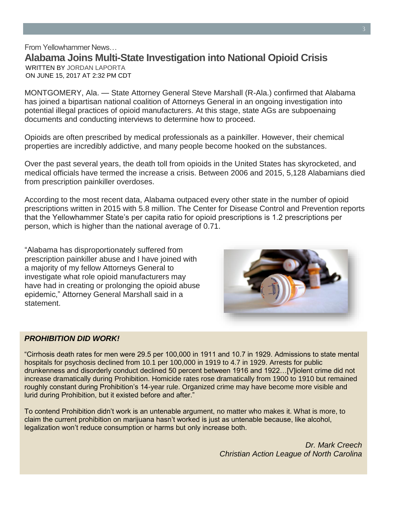From Yellowhammer News… **Alabama Joins Multi-State Investigation into National Opioid Crisis** • WRITTEN BY JORDAN LAPORTA • ON JUNE 15, 2017 AT 2:32 PM CDT

MONTGOMERY, Ala. — State Attorney General Steve Marshall (R-Ala.) confirmed that Alabama has joined a bipartisan national coalition of Attorneys General in an ongoing investigation into potential illegal practices of opioid manufacturers. At this stage, state AGs are subpoenaing documents and conducting interviews to determine how to proceed.

Opioids are often prescribed by medical professionals as a painkiller. However, their chemical properties are incredibly addictive, and many people become hooked on the substances.

Over the past several years, the death toll from opioids in the United States has skyrocketed, and medical officials have termed the increase a crisis. Between 2006 and 2015, 5,128 Alabamians died from prescription painkiller overdoses.

According to the most recent data, Alabama outpaced every other state in the number of opioid prescriptions written in 2015 with 5.8 million. The Center for Disease Control and Prevention reports that the Yellowhammer State's per capita ratio for opioid prescriptions is 1.2 prescriptions per person, which is higher than the national average of 0.71.

"Alabama has disproportionately suffered from prescription painkiller abuse and I have joined with a majority of my fellow Attorneys General to investigate what role opioid manufacturers may have had in creating or prolonging the opioid abuse epidemic," Attorney General Marshall said in a statement.



#### *PROHIBITION DID WORK!*

"Cirrhosis death rates for men were 29.5 per 100,000 in 1911 and 10.7 in 1929. Admissions to state mental hospitals for psychosis declined from 10.1 per 100,000 in 1919 to 4.7 in 1929. Arrests for public drunkenness and disorderly conduct declined 50 percent between 1916 and 1922…[V]iolent crime did not increase dramatically during Prohibition. Homicide rates rose dramatically from 1900 to 1910 but remained roughly constant during Prohibition's 14-year rule. Organized crime may have become more visible and lurid during Prohibition, but it existed before and after."

To contend Prohibition didn't work is an untenable argument, no matter who makes it. What is more, to claim the current prohibition on marijuana hasn't worked is just as untenable because, like alcohol, legalization won't reduce consumption or harms but only increase both.

> *Dr. Mark Creech Christian Action League of North Carolina*